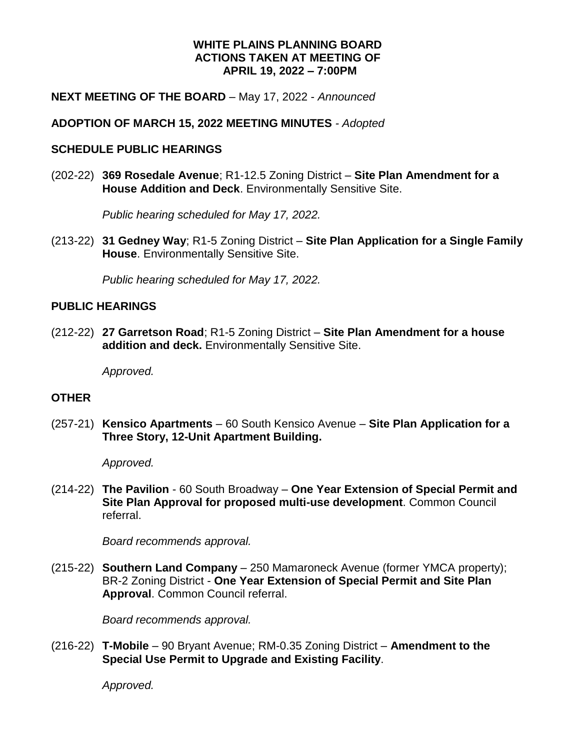#### **WHITE PLAINS PLANNING BOARD ACTIONS TAKEN AT MEETING OF APRIL 19, 2022 – 7:00PM**

#### **NEXT MEETING OF THE BOARD** – May 17, 2022 - *Announced*

## **ADOPTION OF MARCH 15, 2022 MEETING MINUTES** *- Adopted*

## **SCHEDULE PUBLIC HEARINGS**

(202-22) **369 Rosedale Avenue**; R1-12.5 Zoning District – **Site Plan Amendment for a House Addition and Deck**. Environmentally Sensitive Site.

*Public hearing scheduled for May 17, 2022.*

(213-22) **31 Gedney Way**; R1-5 Zoning District – **Site Plan Application for a Single Family House**. Environmentally Sensitive Site.

*Public hearing scheduled for May 17, 2022.*

## **PUBLIC HEARINGS**

(212-22) **27 Garretson Road**; R1-5 Zoning District – **Site Plan Amendment for a house addition and deck.** Environmentally Sensitive Site.

*Approved.*

# **OTHER**

(257-21) **Kensico Apartments** – 60 South Kensico Avenue – **Site Plan Application for a Three Story, 12-Unit Apartment Building.** 

*Approved.*

(214-22) **The Pavilion** - 60 South Broadway – **One Year Extension of Special Permit and Site Plan Approval for proposed multi-use development**. Common Council referral.

*Board recommends approval.*

(215-22) **Southern Land Company** – 250 Mamaroneck Avenue (former YMCA property); BR-2 Zoning District - **One Year Extension of Special Permit and Site Plan Approval**. Common Council referral.

*Board recommends approval.*

(216-22) **T-Mobile** – 90 Bryant Avenue; RM-0.35 Zoning District – **Amendment to the Special Use Permit to Upgrade and Existing Facility**.

*Approved.*